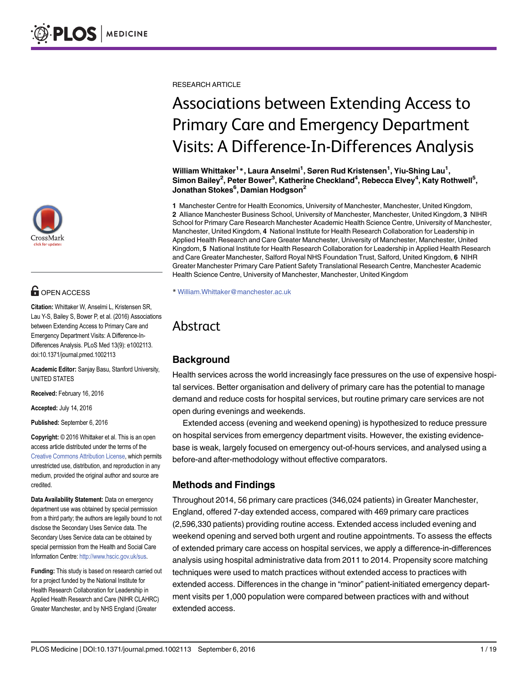

# **G** OPEN ACCESS

Citation: Whittaker W, Anselmi L, Kristensen SR, Lau Y-S, Bailey S, Bower P, et al. (2016) Associations between Extending Access to Primary Care and Emergency Department Visits: A Difference-In-Differences Analysis. PLoS Med 13(9): e1002113. doi:10.1371/journal.pmed.1002113

Academic Editor: Sanjay Basu, Stanford University, UNITED STATES

Received: February 16, 2016

Accepted: July 14, 2016

Published: September 6, 2016

Copyright: © 2016 Whittaker et al. This is an open access article distributed under the terms of the [Creative Commons Attribution License,](http://creativecommons.org/licenses/by/4.0/) which permits unrestricted use, distribution, and reproduction in any medium, provided the original author and source are credited.

Data Availability Statement: Data on emergency department use was obtained by special permission from a third party; the authors are legally bound to not disclose the Secondary Uses Service data. The Secondary Uses Service data can be obtained by special permission from the Health and Social Care Information Centre: [http://www.hscic.gov.uk/sus.](http://www.hscic.gov.uk/sus)

Funding: This study is based on research carried out for a project funded by the National Institute for Health Research Collaboration for Leadership in Applied Health Research and Care (NIHR CLAHRC) Greater Manchester, and by NHS England (Greater

RESEARCH ARTICLE

# Associations between Extending Access to Primary Care and Emergency Department Visits: A Difference-In-Differences Analysis

William Whittaker<sup>1</sup> \*, Laura Anselmi<sup>1</sup>, Søren Rud Kristensen<sup>1</sup>, Yiu-Shing Lau<sup>1</sup>, Simon Bailey<sup>2</sup>, Peter Bower<sup>3</sup>, Katherine Checkland<sup>4</sup>, Rebecca Elvey<sup>4</sup>, Katy Rothwell<sup>5</sup>, Jonathan Stokes<sup>6</sup>, Damian Hodgson<sup>2</sup>

1 Manchester Centre for Health Economics, University of Manchester, Manchester, United Kingdom, 2 Alliance Manchester Business School, University of Manchester, Manchester, United Kingdom, 3 NIHR School for Primary Care Research Manchester Academic Health Science Centre, University of Manchester, Manchester, United Kingdom, 4 National Institute for Health Research Collaboration for Leadership in Applied Health Research and Care Greater Manchester, University of Manchester, Manchester, United Kingdom, 5 National Institute for Health Research Collaboration for Leadership in Applied Health Research and Care Greater Manchester, Salford Royal NHS Foundation Trust, Salford, United Kingdom, 6 NIHR Greater Manchester Primary Care Patient Safety Translational Research Centre, Manchester Academic Health Science Centre, University of Manchester, Manchester, United Kingdom

\* William.Whittaker@manchester.ac.uk

# Abstract

## Background

Health services across the world increasingly face pressures on the use of expensive hospital services. Better organisation and delivery of primary care has the potential to manage demand and reduce costs for hospital services, but routine primary care services are not open during evenings and weekends.

Extended access (evening and weekend opening) is hypothesized to reduce pressure on hospital services from emergency department visits. However, the existing evidencebase is weak, largely focused on emergency out-of-hours services, and analysed using a before-and after-methodology without effective comparators.

## Methods and Findings

Throughout 2014, 56 primary care practices (346,024 patients) in Greater Manchester, England, offered 7-day extended access, compared with 469 primary care practices (2,596,330 patients) providing routine access. Extended access included evening and weekend opening and served both urgent and routine appointments. To assess the effects of extended primary care access on hospital services, we apply a difference-in-differences analysis using hospital administrative data from 2011 to 2014. Propensity score matching techniques were used to match practices without extended access to practices with extended access. Differences in the change in "minor" patient-initiated emergency department visits per 1,000 population were compared between practices with and without extended access.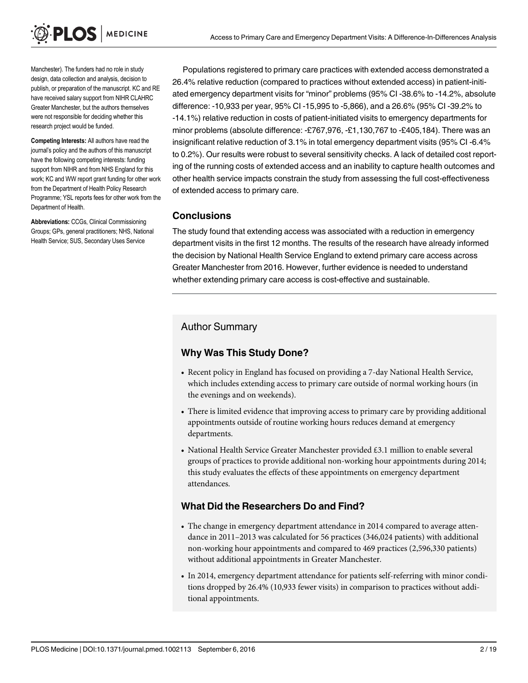PLOS I **MEDICINE** 

Manchester). The funders had no role in study design, data collection and analysis, decision to publish, or preparation of the manuscript. KC and RE have received salary support from NIHR CLAHRC Greater Manchester, but the authors themselves were not responsible for deciding whether this research project would be funded.

Competing Interests: All authors have read the journal's policy and the authors of this manuscript have the following competing interests: funding support from NIHR and from NHS England for this work; KC and WW report grant funding for other work from the Department of Health Policy Research Programme; YSL reports fees for other work from the Department of Health.

Abbreviations: CCGs, Clinical Commissioning Groups; GPs, general practitioners; NHS, National Health Service; SUS, Secondary Uses Service

Populations registered to primary care practices with extended access demonstrated a 26.4% relative reduction (compared to practices without extended access) in patient-initiated emergency department visits for "minor" problems (95% CI -38.6% to -14.2%, absolute difference: -10,933 per year, 95% CI -15,995 to -5,866), and a 26.6% (95% CI -39.2% to -14.1%) relative reduction in costs of patient-initiated visits to emergency departments for minor problems (absolute difference: -£767,976, -£1,130,767 to -£405,184). There was an insignificant relative reduction of 3.1% in total emergency department visits (95% CI -6.4% to 0.2%). Our results were robust to several sensitivity checks. A lack of detailed cost reporting of the running costs of extended access and an inability to capture health outcomes and other health service impacts constrain the study from assessing the full cost-effectiveness of extended access to primary care.

#### **Conclusions**

The study found that extending access was associated with a reduction in emergency department visits in the first 12 months. The results of the research have already informed the decision by National Health Service England to extend primary care access across Greater Manchester from 2016. However, further evidence is needed to understand whether extending primary care access is cost-effective and sustainable.

#### Author Summary

#### Why Was This Study Done?

- Recent policy in England has focused on providing a 7-day National Health Service, which includes extending access to primary care outside of normal working hours (in the evenings and on weekends).
- There is limited evidence that improving access to primary care by providing additional appointments outside of routine working hours reduces demand at emergency departments.
- National Health Service Greater Manchester provided £3.1 million to enable several groups of practices to provide additional non-working hour appointments during 2014; this study evaluates the effects of these appointments on emergency department attendances.

#### What Did the Researchers Do and Find?

- The change in emergency department attendance in 2014 compared to average attendance in 2011–2013 was calculated for 56 practices (346,024 patients) with additional non-working hour appointments and compared to 469 practices (2,596,330 patients) without additional appointments in Greater Manchester.
- In 2014, emergency department attendance for patients self-referring with minor conditions dropped by 26.4% (10,933 fewer visits) in comparison to practices without additional appointments.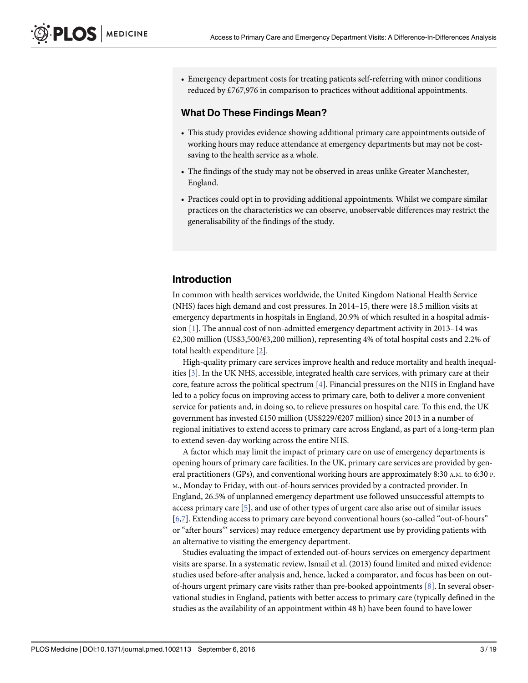<span id="page-2-0"></span>• Emergency department costs for treating patients self-referring with minor conditions reduced by £767,976 in comparison to practices without additional appointments.

#### What Do These Findings Mean?

- This study provides evidence showing additional primary care appointments outside of working hours may reduce attendance at emergency departments but may not be costsaving to the health service as a whole.
- The findings of the study may not be observed in areas unlike Greater Manchester, England.
- Practices could opt in to providing additional appointments. Whilst we compare similar practices on the characteristics we can observe, unobservable differences may restrict the generalisability of the findings of the study.

#### Introduction

In common with health services worldwide, the United Kingdom National Health Service (NHS) faces high demand and cost pressures. In 2014–15, there were 18.5 million visits at emergency departments in hospitals in England, 20.9% of which resulted in a hospital admission [\[1](#page-17-0)]. The annual cost of non-admitted emergency department activity in 2013–14 was £2,300 million (US\$3,500/€3,200 million), representing 4% of total hospital costs and 2.2% of total health expenditure  $[2]$  $[2]$ .

High-quality primary care services improve health and reduce mortality and health inequalities [[3](#page-17-0)]. In the UK NHS, accessible, integrated health care services, with primary care at their core, feature across the political spectrum  $[4]$  $[4]$  $[4]$ . Financial pressures on the NHS in England have led to a policy focus on improving access to primary care, both to deliver a more convenient service for patients and, in doing so, to relieve pressures on hospital care. To this end, the UK government has invested £150 million (US\$229/€207 million) since 2013 in a number of regional initiatives to extend access to primary care across England, as part of a long-term plan to extend seven-day working across the entire NHS.

A factor which may limit the impact of primary care on use of emergency departments is opening hours of primary care facilities. In the UK, primary care services are provided by general practitioners (GPs), and conventional working hours are approximately 8:30 A.M. to 6:30 P. M., Monday to Friday, with out-of-hours services provided by a contracted provider. In England, 26.5% of unplanned emergency department use followed unsuccessful attempts to access primary care  $[5]$  $[5]$ , and use of other types of urgent care also arise out of similar issues [\[6,7](#page-17-0)]. Extending access to primary care beyond conventional hours (so-called "out-of-hours" or "after hours"' services) may reduce emergency department use by providing patients with an alternative to visiting the emergency department.

Studies evaluating the impact of extended out-of-hours services on emergency department visits are sparse. In a systematic review, Ismail et al. (2013) found limited and mixed evidence: studies used before-after analysis and, hence, lacked a comparator, and focus has been on outof-hours urgent primary care visits rather than pre-booked appointments [[8\]](#page-17-0). In several observational studies in England, patients with better access to primary care (typically defined in the studies as the availability of an appointment within 48 h) have been found to have lower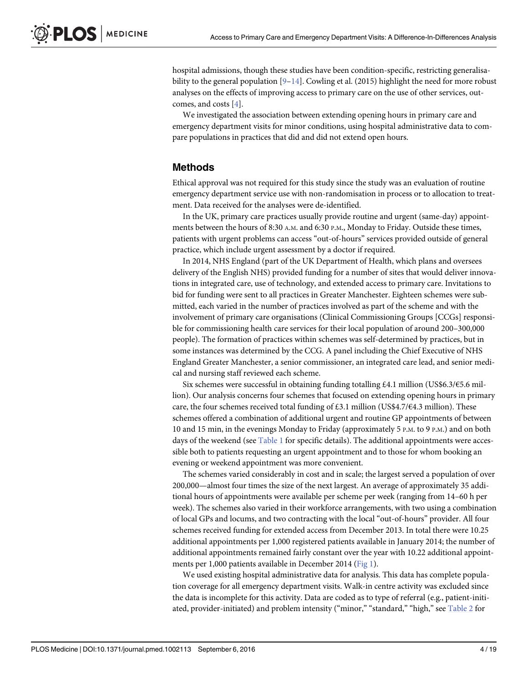<span id="page-3-0"></span>hospital admissions, though these studies have been condition-specific, restricting generalisability to the general population  $[9-14]$  $[9-14]$  $[9-14]$  $[9-14]$  $[9-14]$ . Cowling et al. (2015) highlight the need for more robust analyses on the effects of improving access to primary care on the use of other services, outcomes, and costs [[4\]](#page-17-0).

We investigated the association between extending opening hours in primary care and emergency department visits for minor conditions, using hospital administrative data to compare populations in practices that did and did not extend open hours.

#### Methods

Ethical approval was not required for this study since the study was an evaluation of routine emergency department service use with non-randomisation in process or to allocation to treatment. Data received for the analyses were de-identified.

In the UK, primary care practices usually provide routine and urgent (same-day) appointments between the hours of 8:30 A.M. and 6:30 P.M., Monday to Friday. Outside these times, patients with urgent problems can access "out-of-hours" services provided outside of general practice, which include urgent assessment by a doctor if required.

In 2014, NHS England (part of the UK Department of Health, which plans and oversees delivery of the English NHS) provided funding for a number of sites that would deliver innovations in integrated care, use of technology, and extended access to primary care. Invitations to bid for funding were sent to all practices in Greater Manchester. Eighteen schemes were submitted, each varied in the number of practices involved as part of the scheme and with the involvement of primary care organisations (Clinical Commissioning Groups [CCGs] responsible for commissioning health care services for their local population of around 200–300,000 people). The formation of practices within schemes was self-determined by practices, but in some instances was determined by the CCG. A panel including the Chief Executive of NHS England Greater Manchester, a senior commissioner, an integrated care lead, and senior medical and nursing staff reviewed each scheme.

Six schemes were successful in obtaining funding totalling £4.1 million (US\$6.3/ $\epsilon$ 5.6 million). Our analysis concerns four schemes that focused on extending opening hours in primary care, the four schemes received total funding of £3.1 million (US\$4.7/€4.3 million). These schemes offered a combination of additional urgent and routine GP appointments of between 10 and 15 min, in the evenings Monday to Friday (approximately 5 P.M. to 9 P.M.) and on both days of the weekend (see  $Table 1$  for specific details). The additional appointments were accessible both to patients requesting an urgent appointment and to those for whom booking an evening or weekend appointment was more convenient.

The schemes varied considerably in cost and in scale; the largest served a population of over 200,000—almost four times the size of the next largest. An average of approximately 35 additional hours of appointments were available per scheme per week (ranging from 14–60 h per week). The schemes also varied in their workforce arrangements, with two using a combination of local GPs and locums, and two contracting with the local "out-of-hours" provider. All four schemes received funding for extended access from December 2013. In total there were 10.25 additional appointments per 1,000 registered patients available in January 2014; the number of additional appointments remained fairly constant over the year with 10.22 additional appointments per 1,000 patients available in December 2014 ([Fig 1](#page-4-0)).

We used existing hospital administrative data for analysis. This data has complete population coverage for all emergency department visits. Walk-in centre activity was excluded since the data is incomplete for this activity. Data are coded as to type of referral (e.g., patient-initiated, provider-initiated) and problem intensity ("minor," "standard," "high," see [Table 2](#page-5-0) for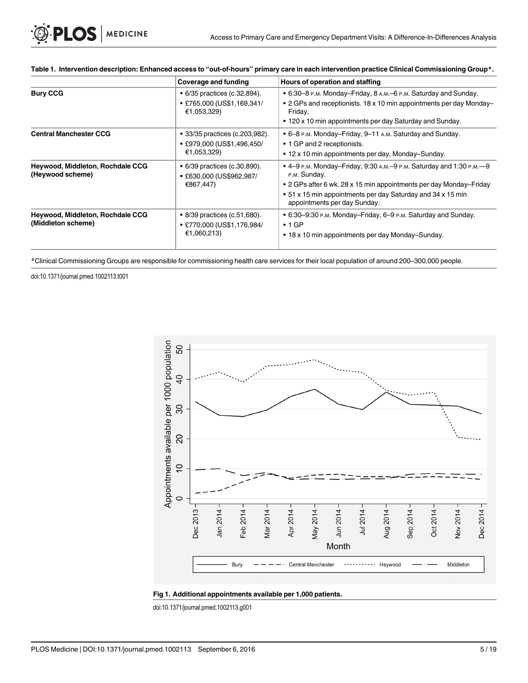|                                                             | Coverage and funding                                                        | Hours of operation and staffing<br>• 6:30–8 P.M. Monday–Friday, 8 A.M.–6 P.M. Saturday and Sunday.<br>• 2 GPs and receptionists. 18 x 10 min appointments per day Monday-<br>Friday,<br>• 120 x 10 min appointments per day Saturday and Sunday.          |  |  |  |
|-------------------------------------------------------------|-----------------------------------------------------------------------------|-----------------------------------------------------------------------------------------------------------------------------------------------------------------------------------------------------------------------------------------------------------|--|--|--|
| <b>Bury CCG</b>                                             | • 6/35 practices (c.32,894).<br>• £765,000 (US\$1,169,341/<br>€1,053,329)   |                                                                                                                                                                                                                                                           |  |  |  |
| <b>Central Manchester CCG</b>                               | • 33/35 practices (c.203,982).<br>• £979,000 (US\$1,496,450/<br>€1,053,329) | • 6–8 P.M. Monday–Friday, 9–11 A.M. Saturday and Sunday.<br>• 1 GP and 2 receptionists.<br>• 12 x 10 min appointments per day, Monday-Sunday.                                                                                                             |  |  |  |
| <b>Heywood, Middleton, Rochdale CCG</b><br>(Heywood scheme) | • 6/39 practices (c.30,890).<br>● £630,000 (US\$962,987/<br>€867,447)       | • 4–9 P.M. Monday–Friday, 9:30 A.M.–9 P.M. Saturday and 1:30 P.M.––9<br>P.M. Sunday.<br>• 2 GPs after 6 wk. 28 x 15 min appointments per day Monday-Friday<br>• 51 x 15 min appointments per day Saturday and 34 x 15 min<br>appointments per day Sunday. |  |  |  |
| Heywood, Middleton, Rochdale CCG<br>(Middleton scheme)      | • 8/39 practices (c.51,680).<br>• £770,000 (US\$1,176,984/<br>€1,060,213)   | • 6:30–9:30 P.M. Monday–Friday, 6–9 P.M. Saturday and Sunday.<br>$\cdot$ 1 GP<br>• 18 x 10 min appointments per day Monday-Sunday.                                                                                                                        |  |  |  |

#### <span id="page-4-0"></span>[Table 1.](#page-3-0) Intervention description: Enhanced access to "out-of-hours" primary care in each intervention practice Clinical Commissioning Group\*.

\*Clinical Commissioning Groups are responsible for commissioning health care services for their local population of around 200–300,000 people.

doi:10.1371/journal.pmed.1002113.t001



#### [Fig 1.](#page-3-0) Additional appointments available per 1,000 patients.

doi:10.1371/journal.pmed.1002113.g001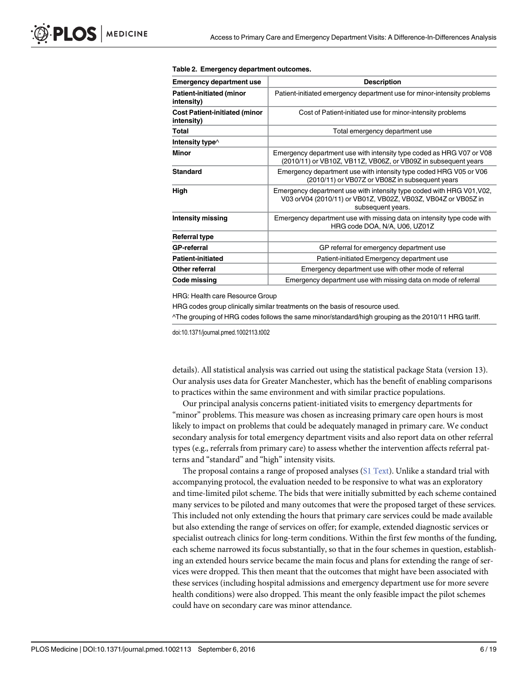| <b>Emergency department use</b>                    | <b>Description</b>                                                                                                                                          |  |  |  |  |
|----------------------------------------------------|-------------------------------------------------------------------------------------------------------------------------------------------------------------|--|--|--|--|
| <b>Patient-initiated (minor</b><br>intensity)      | Patient-initiated emergency department use for minor-intensity problems                                                                                     |  |  |  |  |
| <b>Cost Patient-initiated (minor</b><br>intensity) | Cost of Patient-initiated use for minor-intensity problems                                                                                                  |  |  |  |  |
| Total                                              | Total emergency department use                                                                                                                              |  |  |  |  |
| Intensity type $\wedge$                            |                                                                                                                                                             |  |  |  |  |
| <b>Minor</b>                                       | Emergency department use with intensity type coded as HRG V07 or V08<br>(2010/11) or VB10Z, VB11Z, VB06Z, or VB09Z in subsequent years                      |  |  |  |  |
| <b>Standard</b>                                    | Emergency department use with intensity type coded HRG V05 or V06<br>(2010/11) or VB07Z or VB08Z in subsequent years                                        |  |  |  |  |
| High                                               | Emergency department use with intensity type coded with HRG V01, V02,<br>V03 orV04 (2010/11) or VB01Z, VB02Z, VB03Z, VB04Z or VB05Z in<br>subsequent years. |  |  |  |  |
| <b>Intensity missing</b>                           | Emergency department use with missing data on intensity type code with<br>HRG code DOA, N/A, U06, UZ01Z                                                     |  |  |  |  |
| Referral type                                      |                                                                                                                                                             |  |  |  |  |
| <b>GP-referral</b>                                 | GP referral for emergency department use                                                                                                                    |  |  |  |  |
| <b>Patient-initiated</b>                           | Patient-initiated Emergency department use                                                                                                                  |  |  |  |  |
| Other referral                                     | Emergency department use with other mode of referral                                                                                                        |  |  |  |  |
| Code missing                                       | Emergency department use with missing data on mode of referral                                                                                              |  |  |  |  |
|                                                    |                                                                                                                                                             |  |  |  |  |

#### <span id="page-5-0"></span>[Table 2.](#page-3-0) Emergency department outcomes.

HRG: Health care Resource Group

HRG codes group clinically similar treatments on the basis of resource used.

^The grouping of HRG codes follows the same minor/standard/high grouping as the 2010/11 HRG tariff.

doi:10.1371/journal.pmed.1002113.t002

details). All statistical analysis was carried out using the statistical package Stata (version 13). Our analysis uses data for Greater Manchester, which has the benefit of enabling comparisons to practices within the same environment and with similar practice populations.

Our principal analysis concerns patient-initiated visits to emergency departments for "minor" problems. This measure was chosen as increasing primary care open hours is most likely to impact on problems that could be adequately managed in primary care. We conduct secondary analysis for total emergency department visits and also report data on other referral types (e.g., referrals from primary care) to assess whether the intervention affects referral patterns and "standard" and "high" intensity visits.

The proposal contains a range of proposed analyses [\(S1 Text](#page-16-0)). Unlike a standard trial with accompanying protocol, the evaluation needed to be responsive to what was an exploratory and time-limited pilot scheme. The bids that were initially submitted by each scheme contained many services to be piloted and many outcomes that were the proposed target of these services. This included not only extending the hours that primary care services could be made available but also extending the range of services on offer; for example, extended diagnostic services or specialist outreach clinics for long-term conditions. Within the first few months of the funding, each scheme narrowed its focus substantially, so that in the four schemes in question, establishing an extended hours service became the main focus and plans for extending the range of services were dropped. This then meant that the outcomes that might have been associated with these services (including hospital admissions and emergency department use for more severe health conditions) were also dropped. This meant the only feasible impact the pilot schemes could have on secondary care was minor attendance.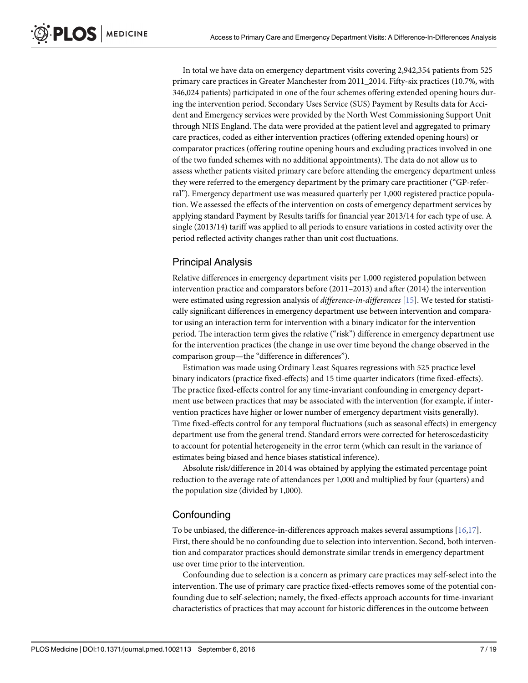<span id="page-6-0"></span>In total we have data on emergency department visits covering 2,942,354 patients from 525 primary care practices in Greater Manchester from 2011\_2014. Fifty-six practices (10.7%, with 346,024 patients) participated in one of the four schemes offering extended opening hours during the intervention period. Secondary Uses Service (SUS) Payment by Results data for Accident and Emergency services were provided by the North West Commissioning Support Unit through NHS England. The data were provided at the patient level and aggregated to primary care practices, coded as either intervention practices (offering extended opening hours) or comparator practices (offering routine opening hours and excluding practices involved in one of the two funded schemes with no additional appointments). The data do not allow us to assess whether patients visited primary care before attending the emergency department unless they were referred to the emergency department by the primary care practitioner ("GP-referral"). Emergency department use was measured quarterly per 1,000 registered practice population. We assessed the effects of the intervention on costs of emergency department services by applying standard Payment by Results tariffs for financial year 2013/14 for each type of use. A single (2013/14) tariff was applied to all periods to ensure variations in costed activity over the period reflected activity changes rather than unit cost fluctuations.

#### Principal Analysis

Relative differences in emergency department visits per 1,000 registered population between intervention practice and comparators before (2011–2013) and after (2014) the intervention were estimated using regression analysis of *difference-in-differences* [[15](#page-17-0)]. We tested for statistically significant differences in emergency department use between intervention and comparator using an interaction term for intervention with a binary indicator for the intervention period. The interaction term gives the relative ("risk") difference in emergency department use for the intervention practices (the change in use over time beyond the change observed in the comparison group—the "difference in differences").

Estimation was made using Ordinary Least Squares regressions with 525 practice level binary indicators (practice fixed-effects) and 15 time quarter indicators (time fixed-effects). The practice fixed-effects control for any time-invariant confounding in emergency department use between practices that may be associated with the intervention (for example, if intervention practices have higher or lower number of emergency department visits generally). Time fixed-effects control for any temporal fluctuations (such as seasonal effects) in emergency department use from the general trend. Standard errors were corrected for heteroscedasticity to account for potential heterogeneity in the error term (which can result in the variance of estimates being biased and hence biases statistical inference).

Absolute risk/difference in 2014 was obtained by applying the estimated percentage point reduction to the average rate of attendances per 1,000 and multiplied by four (quarters) and the population size (divided by 1,000).

#### **Confounding**

To be unbiased, the difference-in-differences approach makes several assumptions [\[16,17\]](#page-17-0). First, there should be no confounding due to selection into intervention. Second, both intervention and comparator practices should demonstrate similar trends in emergency department use over time prior to the intervention.

Confounding due to selection is a concern as primary care practices may self-select into the intervention. The use of primary care practice fixed-effects removes some of the potential confounding due to self-selection; namely, the fixed-effects approach accounts for time-invariant characteristics of practices that may account for historic differences in the outcome between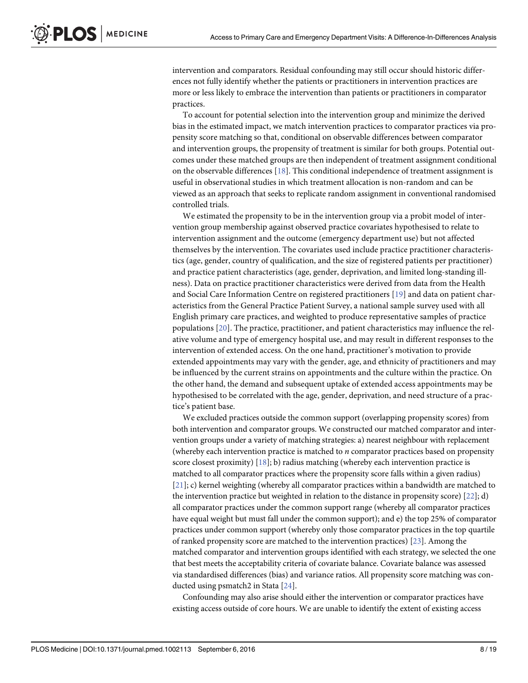<span id="page-7-0"></span>intervention and comparators. Residual confounding may still occur should historic differences not fully identify whether the patients or practitioners in intervention practices are more or less likely to embrace the intervention than patients or practitioners in comparator practices.

To account for potential selection into the intervention group and minimize the derived bias in the estimated impact, we match intervention practices to comparator practices via propensity score matching so that, conditional on observable differences between comparator and intervention groups, the propensity of treatment is similar for both groups. Potential outcomes under these matched groups are then independent of treatment assignment conditional on the observable differences [[18](#page-17-0)]. This conditional independence of treatment assignment is useful in observational studies in which treatment allocation is non-random and can be viewed as an approach that seeks to replicate random assignment in conventional randomised controlled trials.

We estimated the propensity to be in the intervention group via a probit model of intervention group membership against observed practice covariates hypothesised to relate to intervention assignment and the outcome (emergency department use) but not affected themselves by the intervention. The covariates used include practice practitioner characteristics (age, gender, country of qualification, and the size of registered patients per practitioner) and practice patient characteristics (age, gender, deprivation, and limited long-standing illness). Data on practice practitioner characteristics were derived from data from the Health and Social Care Information Centre on registered practitioners [[19\]](#page-18-0) and data on patient characteristics from the General Practice Patient Survey, a national sample survey used with all English primary care practices, and weighted to produce representative samples of practice populations [[20](#page-18-0)]. The practice, practitioner, and patient characteristics may influence the relative volume and type of emergency hospital use, and may result in different responses to the intervention of extended access. On the one hand, practitioner's motivation to provide extended appointments may vary with the gender, age, and ethnicity of practitioners and may be influenced by the current strains on appointments and the culture within the practice. On the other hand, the demand and subsequent uptake of extended access appointments may be hypothesised to be correlated with the age, gender, deprivation, and need structure of a practice's patient base.

We excluded practices outside the common support (overlapping propensity scores) from both intervention and comparator groups. We constructed our matched comparator and intervention groups under a variety of matching strategies: a) nearest neighbour with replacement (whereby each intervention practice is matched to n comparator practices based on propensity score closest proximity)  $[18]$  $[18]$  $[18]$ ; b) radius matching (whereby each intervention practice is matched to all comparator practices where the propensity score falls within a given radius) [\[21](#page-18-0)]; c) kernel weighting (whereby all comparator practices within a bandwidth are matched to the intervention practice but weighted in relation to the distance in propensity score) [[22](#page-18-0)]; d) all comparator practices under the common support range (whereby all comparator practices have equal weight but must fall under the common support); and e) the top 25% of comparator practices under common support (whereby only those comparator practices in the top quartile of ranked propensity score are matched to the intervention practices) [\[23\]](#page-18-0). Among the matched comparator and intervention groups identified with each strategy, we selected the one that best meets the acceptability criteria of covariate balance. Covariate balance was assessed via standardised differences (bias) and variance ratios. All propensity score matching was conducted using psmatch2 in Stata [\[24\]](#page-18-0).

Confounding may also arise should either the intervention or comparator practices have existing access outside of core hours. We are unable to identify the extent of existing access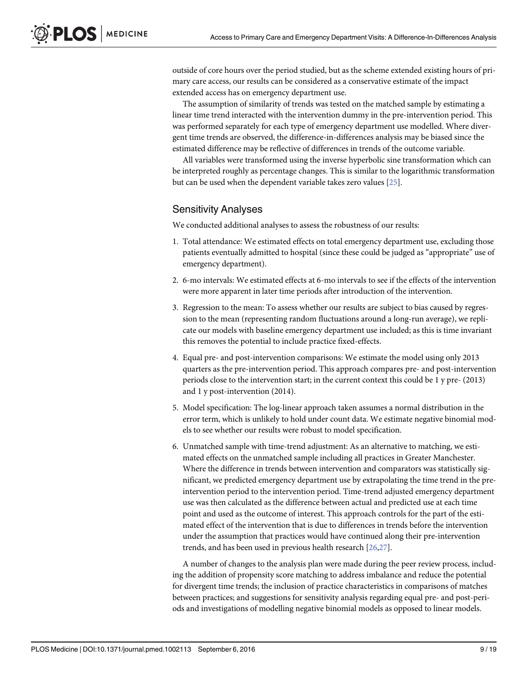<span id="page-8-0"></span>outside of core hours over the period studied, but as the scheme extended existing hours of primary care access, our results can be considered as a conservative estimate of the impact extended access has on emergency department use.

The assumption of similarity of trends was tested on the matched sample by estimating a linear time trend interacted with the intervention dummy in the pre-intervention period. This was performed separately for each type of emergency department use modelled. Where divergent time trends are observed, the difference-in-differences analysis may be biased since the estimated difference may be reflective of differences in trends of the outcome variable.

All variables were transformed using the inverse hyperbolic sine transformation which can be interpreted roughly as percentage changes. This is similar to the logarithmic transformation but can be used when the dependent variable takes zero values [\[25\]](#page-18-0).

#### Sensitivity Analyses

We conducted additional analyses to assess the robustness of our results:

- 1. Total attendance: We estimated effects on total emergency department use, excluding those patients eventually admitted to hospital (since these could be judged as "appropriate" use of emergency department).
- 2. 6-mo intervals: We estimated effects at 6-mo intervals to see if the effects of the intervention were more apparent in later time periods after introduction of the intervention.
- 3. Regression to the mean: To assess whether our results are subject to bias caused by regression to the mean (representing random fluctuations around a long-run average), we replicate our models with baseline emergency department use included; as this is time invariant this removes the potential to include practice fixed-effects.
- 4. Equal pre- and post-intervention comparisons: We estimate the model using only 2013 quarters as the pre-intervention period. This approach compares pre- and post-intervention periods close to the intervention start; in the current context this could be 1 y pre- (2013) and 1 y post-intervention (2014).
- 5. Model specification: The log-linear approach taken assumes a normal distribution in the error term, which is unlikely to hold under count data. We estimate negative binomial models to see whether our results were robust to model specification.
- 6. Unmatched sample with time-trend adjustment: As an alternative to matching, we estimated effects on the unmatched sample including all practices in Greater Manchester. Where the difference in trends between intervention and comparators was statistically significant, we predicted emergency department use by extrapolating the time trend in the preintervention period to the intervention period. Time-trend adjusted emergency department use was then calculated as the difference between actual and predicted use at each time point and used as the outcome of interest. This approach controls for the part of the estimated effect of the intervention that is due to differences in trends before the intervention under the assumption that practices would have continued along their pre-intervention trends, and has been used in previous health research [[26](#page-18-0),[27](#page-18-0)].

A number of changes to the analysis plan were made during the peer review process, including the addition of propensity score matching to address imbalance and reduce the potential for divergent time trends; the inclusion of practice characteristics in comparisons of matches between practices; and suggestions for sensitivity analysis regarding equal pre- and post-periods and investigations of modelling negative binomial models as opposed to linear models.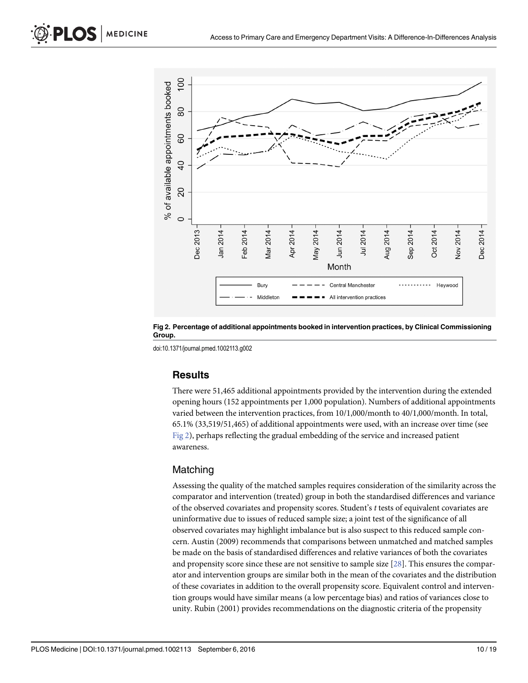<span id="page-9-0"></span>

Fig 2. Percentage of additional appointments booked in intervention practices, by Clinical Commissioning Group.

doi:10.1371/journal.pmed.1002113.g002

#### **Results**

There were 51,465 additional appointments provided by the intervention during the extended opening hours (152 appointments per 1,000 population). Numbers of additional appointments varied between the intervention practices, from 10/1,000/month to 40/1,000/month. In total, 65.1% (33,519/51,465) of additional appointments were used, with an increase over time (see Fig 2), perhaps reflecting the gradual embedding of the service and increased patient awareness.

#### Matching

Assessing the quality of the matched samples requires consideration of the similarity across the comparator and intervention (treated) group in both the standardised differences and variance of the observed covariates and propensity scores. Student's t tests of equivalent covariates are uninformative due to issues of reduced sample size; a joint test of the significance of all observed covariates may highlight imbalance but is also suspect to this reduced sample concern. Austin (2009) recommends that comparisons between unmatched and matched samples be made on the basis of standardised differences and relative variances of both the covariates and propensity score since these are not sensitive to sample size  $[28]$  $[28]$ . This ensures the comparator and intervention groups are similar both in the mean of the covariates and the distribution of these covariates in addition to the overall propensity score. Equivalent control and intervention groups would have similar means (a low percentage bias) and ratios of variances close to unity. Rubin (2001) provides recommendations on the diagnostic criteria of the propensity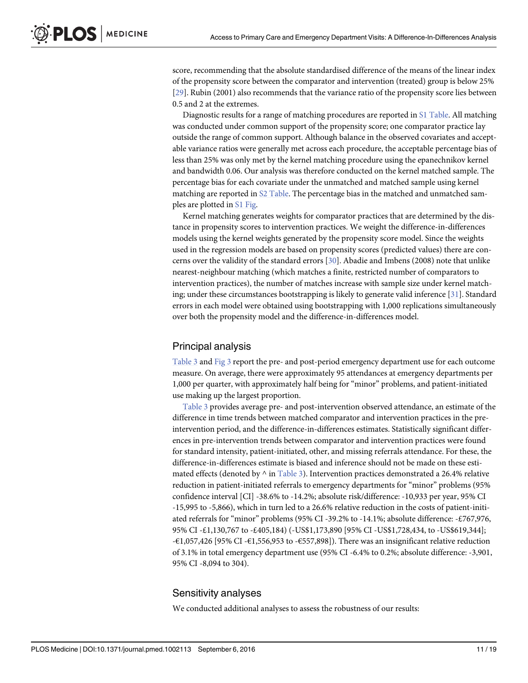<span id="page-10-0"></span>score, recommending that the absolute standardised difference of the means of the linear index of the propensity score between the comparator and intervention (treated) group is below 25% [\[29](#page-18-0)]. Rubin (2001) also recommends that the variance ratio of the propensity score lies between 0.5 and 2 at the extremes.

Diagnostic results for a range of matching procedures are reported in [S1 Table](#page-16-0). All matching was conducted under common support of the propensity score; one comparator practice lay outside the range of common support. Although balance in the observed covariates and acceptable variance ratios were generally met across each procedure, the acceptable percentage bias of less than 25% was only met by the kernel matching procedure using the epanechnikov kernel and bandwidth 0.06. Our analysis was therefore conducted on the kernel matched sample. The percentage bias for each covariate under the unmatched and matched sample using kernel matching are reported in  $S2$  Table. The percentage bias in the matched and unmatched samples are plotted in [S1 Fig.](#page-15-0)

Kernel matching generates weights for comparator practices that are determined by the distance in propensity scores to intervention practices. We weight the difference-in-differences models using the kernel weights generated by the propensity score model. Since the weights used in the regression models are based on propensity scores (predicted values) there are concerns over the validity of the standard errors [[30](#page-18-0)]. Abadie and Imbens (2008) note that unlike nearest-neighbour matching (which matches a finite, restricted number of comparators to intervention practices), the number of matches increase with sample size under kernel matching; under these circumstances bootstrapping is likely to generate valid inference [[31](#page-18-0)]. Standard errors in each model were obtained using bootstrapping with 1,000 replications simultaneously over both the propensity model and the difference-in-differences model.

#### Principal analysis

[Table 3](#page-11-0) and [Fig 3](#page-12-0) report the pre- and post-period emergency department use for each outcome measure. On average, there were approximately 95 attendances at emergency departments per 1,000 per quarter, with approximately half being for "minor" problems, and patient-initiated use making up the largest proportion.

[Table 3](#page-11-0) provides average pre- and post-intervention observed attendance, an estimate of the difference in time trends between matched comparator and intervention practices in the preintervention period, and the difference-in-differences estimates. Statistically significant differences in pre-intervention trends between comparator and intervention practices were found for standard intensity, patient-initiated, other, and missing referrals attendance. For these, the difference-in-differences estimate is biased and inference should not be made on these estimated effects (denoted by  $\land$  in [Table 3](#page-11-0)). Intervention practices demonstrated a 26.4% relative reduction in patient-initiated referrals to emergency departments for "minor" problems (95% confidence interval [CI] -38.6% to -14.2%; absolute risk/difference: -10,933 per year, 95% CI -15,995 to -5,866), which in turn led to a 26.6% relative reduction in the costs of patient-initiated referrals for "minor" problems (95% CI -39.2% to -14.1%; absolute difference: -£767,976, 95% CI -£1,130,767 to -£405,184) (-US\$1,173,890 [95% CI -US\$1,728,434, to -US\$619,344]; -€1,057,426 [95% CI -€1,556,953 to -€557,898]). There was an insignificant relative reduction of 3.1% in total emergency department use (95% CI -6.4% to 0.2%; absolute difference: -3,901, 95% CI -8,094 to 304).

#### Sensitivity analyses

We conducted additional analyses to assess the robustness of our results: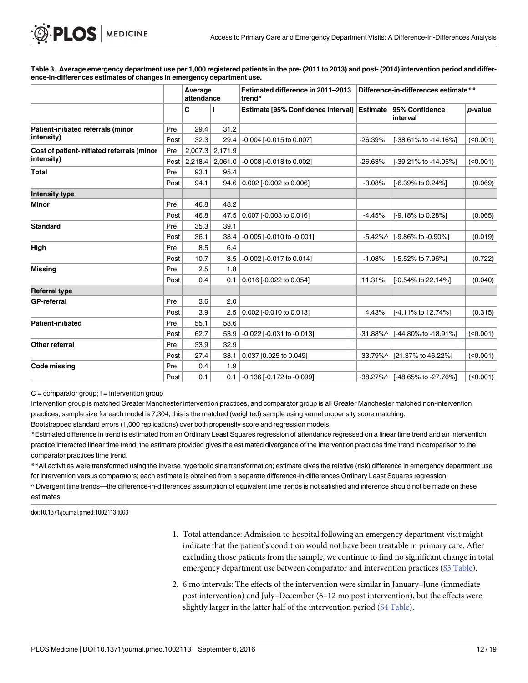[Table 3.](#page-10-0) Average emergency department use per 1,000 registered patients in the pre- (2011 to 2013) and post- (2014) intervention period and difference-in-differences estimates of changes in emergency department use.

|                                                          |          | Average<br>attendance |                   | Estimated difference in 2011-2013<br>trend* | Difference-in-differences estimate** |                                 |                 |
|----------------------------------------------------------|----------|-----------------------|-------------------|---------------------------------------------|--------------------------------------|---------------------------------|-----------------|
|                                                          |          | С                     |                   | Estimate [95% Confidence Interval]          | <b>Estimate</b>                      | 95% Confidence<br>interval      | <i>p</i> -value |
| Patient-initiated referrals (minor<br>intensity)         | Pre      | 29.4                  | 31.2              |                                             |                                      |                                 |                 |
|                                                          | Post     | 32.3                  | 29.4              | -0.004 [-0.015 to 0.007]                    | $-26.39%$                            | [-38.61% to -14.16%]            | (0.001)         |
| Cost of patient-initiated referrals (minor<br>intensity) | Pre      |                       | $2,007.3$ 2,171.9 |                                             |                                      |                                 |                 |
|                                                          | Post $ $ | 2,218.4               | 2,061.0           | -0.008 [-0.018 to 0.002]                    | $-26.63%$                            | [-39.21% to -14.05%]            | (0.001)         |
| <b>Total</b>                                             | Pre      | 93.1                  | 95.4              |                                             |                                      |                                 |                 |
|                                                          | Post     | 94.1                  | 94.6              | 0.002 [-0.002 to 0.006]                     | $-3.08%$                             | $[-6.39\% \text{ to } 0.24\%]$  | (0.069)         |
| <b>Intensity type</b>                                    |          |                       |                   |                                             |                                      |                                 |                 |
| Minor                                                    | Pre      | 46.8                  | 48.2              |                                             |                                      |                                 |                 |
|                                                          | Post     | 46.8                  | 47.5              | 0.007 [-0.003 to 0.016]                     | $-4.45%$                             | [-9.18% to 0.28%]               | (0.065)         |
| <b>Standard</b>                                          | Pre      | 35.3                  | 39.1              |                                             |                                      |                                 |                 |
|                                                          | Post     | 36.1                  | 38.4              | $-0.005$ [ $-0.010$ to $-0.001$ ]           | $-5.42\%$                            | $[-9.86\% \text{ to } -0.90\%]$ | (0.019)         |
| High                                                     | Pre      | 8.5                   | 6.4               |                                             |                                      |                                 |                 |
|                                                          | Post     | 10.7                  | 8.5               | -0.002 [-0.017 to 0.014]                    | $-1.08%$                             | [-5.52% to 7.96%]               | (0.722)         |
| Missing                                                  | Pre      | 2.5                   | 1.8               |                                             |                                      |                                 |                 |
|                                                          | Post     | 0.4                   | 0.1               | 0.016 [-0.022 to 0.054]                     | 11.31%                               | $[-0.54\% \text{ to } 22.14\%]$ | (0.040)         |
| <b>Referral type</b>                                     |          |                       |                   |                                             |                                      |                                 |                 |
| <b>GP-referral</b>                                       | Pre      | 3.6                   | 2.0               |                                             |                                      |                                 |                 |
|                                                          | Post     | 3.9                   | 2.5               | 0.002 [-0.010 to 0.013]                     | 4.43%                                | [-4.11% to 12.74%]              | (0.315)         |
| <b>Patient-initiated</b>                                 | Pre      | 55.1                  | 58.6              |                                             |                                      |                                 |                 |
|                                                          | Post     | 62.7                  | 53.9              | $-0.022$ $[-0.031$ to $-0.013]$             | $-31.88\%$                           | [-44.80% to -18.91%]            | (0.001)         |
| Other referral                                           | Pre      | 33.9                  | 32.9              |                                             |                                      |                                 |                 |
|                                                          | Post     | 27.4                  | 38.1              | 0.037 [0.025 to 0.049]                      | 33.79%^                              | [21.37% to 46.22%]              | (<0.001)        |
| Code missing                                             | Pre      | 0.4                   | 1.9               |                                             |                                      |                                 |                 |
|                                                          | Post     | 0.1                   | 0.1               | -0.136 [-0.172 to -0.099]                   | $-38.27%$                            | [-48.65% to -27.76%]            | (0.001)         |

 $C =$  comparator group;  $I =$  intervention group

<span id="page-11-0"></span>**PLOS** MEDICINE

Intervention group is matched Greater Manchester intervention practices, and comparator group is all Greater Manchester matched non-intervention practices; sample size for each model is 7,304; this is the matched (weighted) sample using kernel propensity score matching.

Bootstrapped standard errors (1,000 replications) over both propensity score and regression models.

\*Estimated difference in trend is estimated from an Ordinary Least Squares regression of attendance regressed on a linear time trend and an intervention practice interacted linear time trend; the estimate provided gives the estimated divergence of the intervention practices time trend in comparison to the comparator practices time trend.

\*\*All activities were transformed using the inverse hyperbolic sine transformation; estimate gives the relative (risk) difference in emergency department use for intervention versus comparators; each estimate is obtained from a separate difference-in-differences Ordinary Least Squares regression.

^ Divergent time trends—the difference-in-differences assumption of equivalent time trends is not satisfied and inference should not be made on these estimates.

doi:10.1371/journal.pmed.1002113.t003

- 1. Total attendance: Admission to hospital following an emergency department visit might indicate that the patient's condition would not have been treatable in primary care. After excluding those patients from the sample, we continue to find no significant change in total emergency department use between comparator and intervention practices [\(S3 Table\)](#page-16-0).
- 2. 6 mo intervals: The effects of the intervention were similar in January–June (immediate post intervention) and July–December (6–12 mo post intervention), but the effects were slightly larger in the latter half of the intervention period ([S4 Table\)](#page-16-0).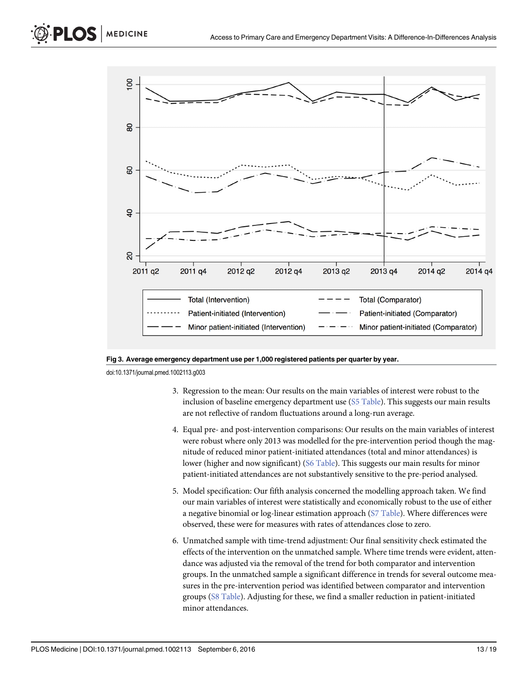<span id="page-12-0"></span>



doi:10.1371/journal.pmed.1002113.g003

- 3. Regression to the mean: Our results on the main variables of interest were robust to the inclusion of baseline emergency department use  $(S5 \text{ Table})$ . This suggests our main results are not reflective of random fluctuations around a long-run average.
- 4. Equal pre- and post-intervention comparisons: Our results on the main variables of interest were robust where only 2013 was modelled for the pre-intervention period though the magnitude of reduced minor patient-initiated attendances (total and minor attendances) is lower (higher and now significant) ([S6 Table\)](#page-16-0). This suggests our main results for minor patient-initiated attendances are not substantively sensitive to the pre-period analysed.
- 5. Model specification: Our fifth analysis concerned the modelling approach taken. We find our main variables of interest were statistically and economically robust to the use of either a negative binomial or log-linear estimation approach [\(S7 Table](#page-16-0)). Where differences were observed, these were for measures with rates of attendances close to zero.
- 6. Unmatched sample with time-trend adjustment: Our final sensitivity check estimated the effects of the intervention on the unmatched sample. Where time trends were evident, attendance was adjusted via the removal of the trend for both comparator and intervention groups. In the unmatched sample a significant difference in trends for several outcome measures in the pre-intervention period was identified between comparator and intervention groups ([S8 Table\)](#page-16-0). Adjusting for these, we find a smaller reduction in patient-initiated minor attendances.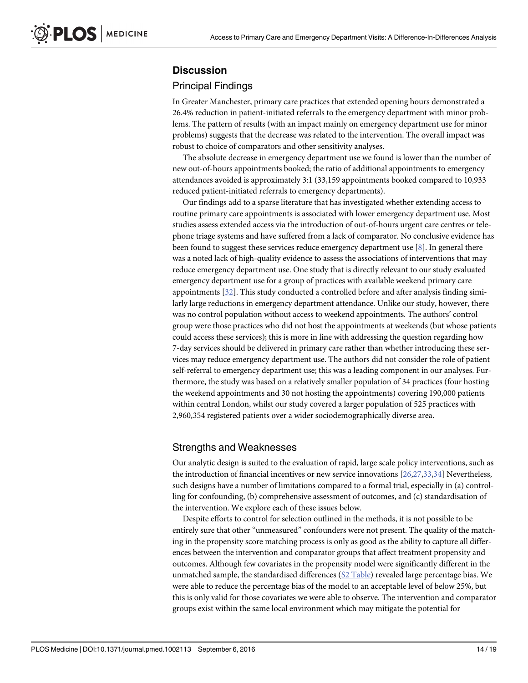## <span id="page-13-0"></span>**Discussion**

#### Principal Findings

In Greater Manchester, primary care practices that extended opening hours demonstrated a 26.4% reduction in patient-initiated referrals to the emergency department with minor problems. The pattern of results (with an impact mainly on emergency department use for minor problems) suggests that the decrease was related to the intervention. The overall impact was robust to choice of comparators and other sensitivity analyses.

The absolute decrease in emergency department use we found is lower than the number of new out-of-hours appointments booked; the ratio of additional appointments to emergency attendances avoided is approximately 3:1 (33,159 appointments booked compared to 10,933 reduced patient-initiated referrals to emergency departments).

Our findings add to a sparse literature that has investigated whether extending access to routine primary care appointments is associated with lower emergency department use. Most studies assess extended access via the introduction of out-of-hours urgent care centres or telephone triage systems and have suffered from a lack of comparator. No conclusive evidence has been found to suggest these services reduce emergency department use  $[8]$  $[8]$ . In general there was a noted lack of high-quality evidence to assess the associations of interventions that may reduce emergency department use. One study that is directly relevant to our study evaluated emergency department use for a group of practices with available weekend primary care appointments [[32](#page-18-0)]. This study conducted a controlled before and after analysis finding similarly large reductions in emergency department attendance. Unlike our study, however, there was no control population without access to weekend appointments. The authors' control group were those practices who did not host the appointments at weekends (but whose patients could access these services); this is more in line with addressing the question regarding how 7-day services should be delivered in primary care rather than whether introducing these services may reduce emergency department use. The authors did not consider the role of patient self-referral to emergency department use; this was a leading component in our analyses. Furthermore, the study was based on a relatively smaller population of 34 practices (four hosting the weekend appointments and 30 not hosting the appointments) covering 190,000 patients within central London, whilst our study covered a larger population of 525 practices with 2,960,354 registered patients over a wider sociodemographically diverse area.

#### Strengths and Weaknesses

Our analytic design is suited to the evaluation of rapid, large scale policy interventions, such as the introduction of financial incentives or new service innovations [\[26,27,33,34](#page-18-0)] Nevertheless, such designs have a number of limitations compared to a formal trial, especially in (a) controlling for confounding, (b) comprehensive assessment of outcomes, and (c) standardisation of the intervention. We explore each of these issues below.

Despite efforts to control for selection outlined in the methods, it is not possible to be entirely sure that other "unmeasured" confounders were not present. The quality of the matching in the propensity score matching process is only as good as the ability to capture all differences between the intervention and comparator groups that affect treatment propensity and outcomes. Although few covariates in the propensity model were significantly different in the unmatched sample, the standardised differences ([S2 Table\)](#page-16-0) revealed large percentage bias. We were able to reduce the percentage bias of the model to an acceptable level of below 25%, but this is only valid for those covariates we were able to observe. The intervention and comparator groups exist within the same local environment which may mitigate the potential for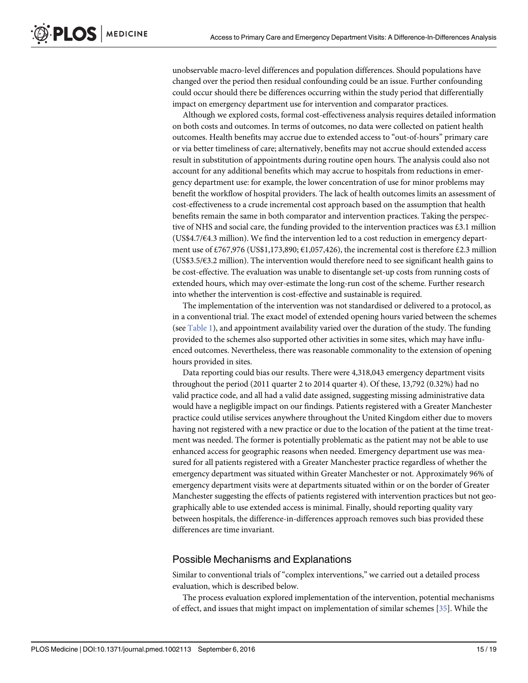<span id="page-14-0"></span>unobservable macro-level differences and population differences. Should populations have changed over the period then residual confounding could be an issue. Further confounding could occur should there be differences occurring within the study period that differentially impact on emergency department use for intervention and comparator practices.

Although we explored costs, formal cost-effectiveness analysis requires detailed information on both costs and outcomes. In terms of outcomes, no data were collected on patient health outcomes. Health benefits may accrue due to extended access to "out-of-hours" primary care or via better timeliness of care; alternatively, benefits may not accrue should extended access result in substitution of appointments during routine open hours. The analysis could also not account for any additional benefits which may accrue to hospitals from reductions in emergency department use: for example, the lower concentration of use for minor problems may benefit the workflow of hospital providers. The lack of health outcomes limits an assessment of cost-effectiveness to a crude incremental cost approach based on the assumption that health benefits remain the same in both comparator and intervention practices. Taking the perspective of NHS and social care, the funding provided to the intervention practices was £3.1 million (US\$4.7/€4.3 million). We find the intervention led to a cost reduction in emergency department use of £767,976 (US\$1,173,890;  $\in$ 1,057,426), the incremental cost is therefore £2.3 million (US\$3.5/€3.2 million). The intervention would therefore need to see significant health gains to be cost-effective. The evaluation was unable to disentangle set-up costs from running costs of extended hours, which may over-estimate the long-run cost of the scheme. Further research into whether the intervention is cost-effective and sustainable is required.

The implementation of the intervention was not standardised or delivered to a protocol, as in a conventional trial. The exact model of extended opening hours varied between the schemes (see [Table 1\)](#page-4-0), and appointment availability varied over the duration of the study. The funding provided to the schemes also supported other activities in some sites, which may have influenced outcomes. Nevertheless, there was reasonable commonality to the extension of opening hours provided in sites.

Data reporting could bias our results. There were 4,318,043 emergency department visits throughout the period (2011 quarter 2 to 2014 quarter 4). Of these, 13,792 (0.32%) had no valid practice code, and all had a valid date assigned, suggesting missing administrative data would have a negligible impact on our findings. Patients registered with a Greater Manchester practice could utilise services anywhere throughout the United Kingdom either due to movers having not registered with a new practice or due to the location of the patient at the time treatment was needed. The former is potentially problematic as the patient may not be able to use enhanced access for geographic reasons when needed. Emergency department use was measured for all patients registered with a Greater Manchester practice regardless of whether the emergency department was situated within Greater Manchester or not. Approximately 96% of emergency department visits were at departments situated within or on the border of Greater Manchester suggesting the effects of patients registered with intervention practices but not geographically able to use extended access is minimal. Finally, should reporting quality vary between hospitals, the difference-in-differences approach removes such bias provided these differences are time invariant.

#### Possible Mechanisms and Explanations

Similar to conventional trials of "complex interventions," we carried out a detailed process evaluation, which is described below.

The process evaluation explored implementation of the intervention, potential mechanisms of effect, and issues that might impact on implementation of similar schemes  $[35]$ . While the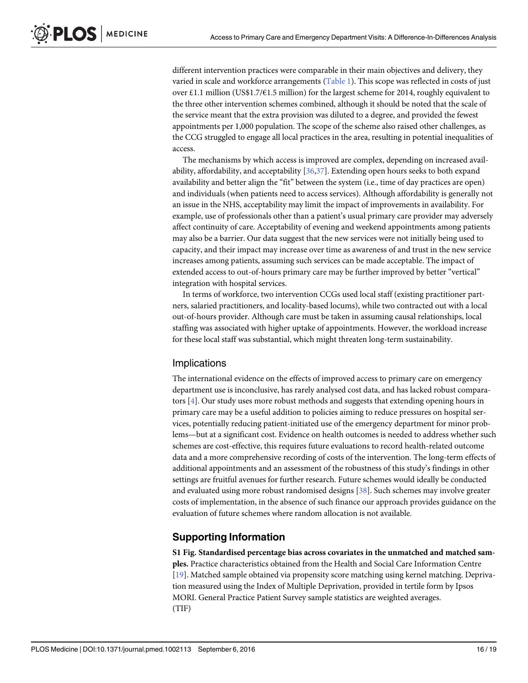<span id="page-15-0"></span>different intervention practices were comparable in their main objectives and delivery, they varied in scale and workforce arrangements [\(Table 1](#page-4-0)). This scope was reflected in costs of just over £1.1 million (US\$1.7/€1.5 million) for the largest scheme for 2014, roughly equivalent to the three other intervention schemes combined, although it should be noted that the scale of the service meant that the extra provision was diluted to a degree, and provided the fewest appointments per 1,000 population. The scope of the scheme also raised other challenges, as the CCG struggled to engage all local practices in the area, resulting in potential inequalities of access.

The mechanisms by which access is improved are complex, depending on increased avail-ability, affordability, and acceptability [[36,37](#page-18-0)]. Extending open hours seeks to both expand availability and better align the "fit" between the system (i.e., time of day practices are open) and individuals (when patients need to access services). Although affordability is generally not an issue in the NHS, acceptability may limit the impact of improvements in availability. For example, use of professionals other than a patient's usual primary care provider may adversely affect continuity of care. Acceptability of evening and weekend appointments among patients may also be a barrier. Our data suggest that the new services were not initially being used to capacity, and their impact may increase over time as awareness of and trust in the new service increases among patients, assuming such services can be made acceptable. The impact of extended access to out-of-hours primary care may be further improved by better "vertical" integration with hospital services.

In terms of workforce, two intervention CCGs used local staff (existing practitioner partners, salaried practitioners, and locality-based locums), while two contracted out with a local out-of-hours provider. Although care must be taken in assuming causal relationships, local staffing was associated with higher uptake of appointments. However, the workload increase for these local staff was substantial, which might threaten long-term sustainability.

#### **Implications**

The international evidence on the effects of improved access to primary care on emergency department use is inconclusive, has rarely analysed cost data, and has lacked robust comparators [[4\]](#page-17-0). Our study uses more robust methods and suggests that extending opening hours in primary care may be a useful addition to policies aiming to reduce pressures on hospital services, potentially reducing patient-initiated use of the emergency department for minor problems—but at a significant cost. Evidence on health outcomes is needed to address whether such schemes are cost-effective, this requires future evaluations to record health-related outcome data and a more comprehensive recording of costs of the intervention. The long-term effects of additional appointments and an assessment of the robustness of this study's findings in other settings are fruitful avenues for further research. Future schemes would ideally be conducted and evaluated using more robust randomised designs [\[38\]](#page-18-0). Such schemes may involve greater costs of implementation, in the absence of such finance our approach provides guidance on the evaluation of future schemes where random allocation is not available.

#### Supporting Information

[S1 Fig.](http://journals.plos.org/plosmedicine/article/asset?unique&id=info:doi/10.1371/journal.pmed.1002113.s001) Standardised percentage bias across covariates in the unmatched and matched samples. Practice characteristics obtained from the Health and Social Care Information Centre [\[19](#page-18-0)]. Matched sample obtained via propensity score matching using kernel matching. Deprivation measured using the Index of Multiple Deprivation, provided in tertile form by Ipsos MORI. General Practice Patient Survey sample statistics are weighted averages. (TIF)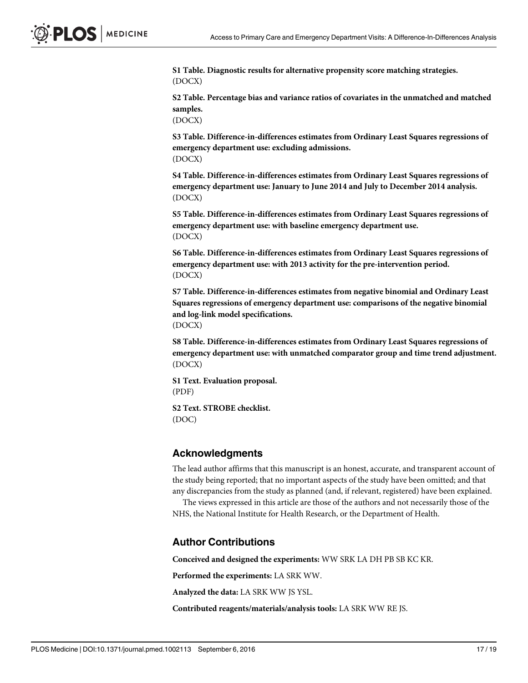<span id="page-16-0"></span>[S1 Table](http://journals.plos.org/plosmedicine/article/asset?unique&id=info:doi/10.1371/journal.pmed.1002113.s002). Diagnostic results for alternative propensity score matching strategies. (DOCX)

[S2 Table](http://journals.plos.org/plosmedicine/article/asset?unique&id=info:doi/10.1371/journal.pmed.1002113.s003). Percentage bias and variance ratios of covariates in the unmatched and matched samples.

(DOCX)

[S3 Table](http://journals.plos.org/plosmedicine/article/asset?unique&id=info:doi/10.1371/journal.pmed.1002113.s004). Difference-in-differences estimates from Ordinary Least Squares regressions of emergency department use: excluding admissions. (DOCX)

[S4 Table](http://journals.plos.org/plosmedicine/article/asset?unique&id=info:doi/10.1371/journal.pmed.1002113.s005). Difference-in-differences estimates from Ordinary Least Squares regressions of emergency department use: January to June 2014 and July to December 2014 analysis. (DOCX)

[S5 Table](http://journals.plos.org/plosmedicine/article/asset?unique&id=info:doi/10.1371/journal.pmed.1002113.s006). Difference-in-differences estimates from Ordinary Least Squares regressions of emergency department use: with baseline emergency department use. (DOCX)

[S6 Table](http://journals.plos.org/plosmedicine/article/asset?unique&id=info:doi/10.1371/journal.pmed.1002113.s007). Difference-in-differences estimates from Ordinary Least Squares regressions of emergency department use: with 2013 activity for the pre-intervention period. (DOCX)

[S7 Table](http://journals.plos.org/plosmedicine/article/asset?unique&id=info:doi/10.1371/journal.pmed.1002113.s008). Difference-in-differences estimates from negative binomial and Ordinary Least Squares regressions of emergency department use: comparisons of the negative binomial and log-link model specifications. (DOCX)

[S8 Table](http://journals.plos.org/plosmedicine/article/asset?unique&id=info:doi/10.1371/journal.pmed.1002113.s009). Difference-in-differences estimates from Ordinary Least Squares regressions of emergency department use: with unmatched comparator group and time trend adjustment. (DOCX)

[S1 Text.](http://journals.plos.org/plosmedicine/article/asset?unique&id=info:doi/10.1371/journal.pmed.1002113.s010) Evaluation proposal. (PDF)

[S2 Text.](http://journals.plos.org/plosmedicine/article/asset?unique&id=info:doi/10.1371/journal.pmed.1002113.s011) STROBE checklist. (DOC)

#### Acknowledgments

The lead author affirms that this manuscript is an honest, accurate, and transparent account of the study being reported; that no important aspects of the study have been omitted; and that any discrepancies from the study as planned (and, if relevant, registered) have been explained.

The views expressed in this article are those of the authors and not necessarily those of the NHS, the National Institute for Health Research, or the Department of Health.

#### Author Contributions

Conceived and designed the experiments: WW SRK LA DH PB SB KC KR.

Performed the experiments: LA SRK WW.

Analyzed the data: LA SRK WW JS YSL.

Contributed reagents/materials/analysis tools: LA SRK WW RE JS.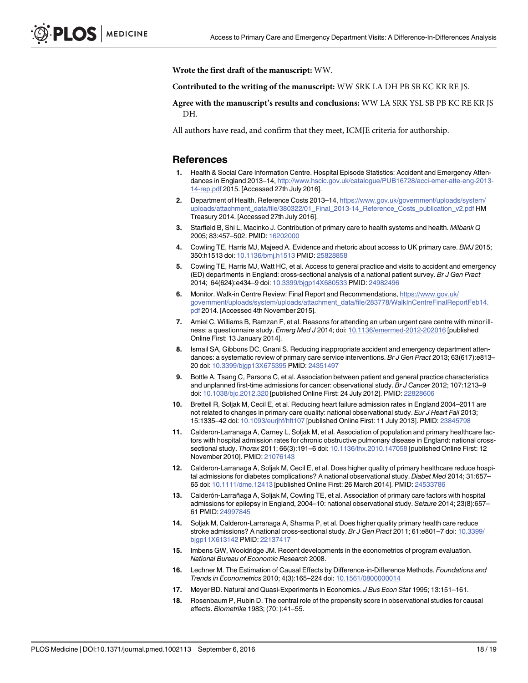<span id="page-17-0"></span>Wrote the first draft of the manuscript: WW.

Contributed to the writing of the manuscript: WW SRK LA DH PB SB KC KR RE JS.

Agree with the manuscript's results and conclusions: WW LA SRK YSL SB PB KC RE KR JS DH.

All authors have read, and confirm that they meet, ICMJE criteria for authorship.

#### References

- [1.](#page-2-0) Health & Social Care Information Centre. Hospital Episode Statistics: Accident and Emergency Attendances in England 2013–14, [http://www.hscic.gov.uk/catalogue/PUB16728/acci-emer-atte-eng-2013-](http://www.hscic.gov.uk/catalogue/PUB16728/acci-emer-atte-eng-2013-14-rep.pdf) [14-rep.pdf](http://www.hscic.gov.uk/catalogue/PUB16728/acci-emer-atte-eng-2013-14-rep.pdf) 2015. [Accessed 27th July 2016].
- [2.](#page-2-0) Department of Health. Reference Costs 2013-14, [https://www.gov.uk/government/uploads/system/](https://www.gov.uk/government/uploads/system/uploads/attachment_data/file/380322/01_Final_2013-14_Reference_Costs_publication_v2.pdf) [uploads/attachment\\_data/file/380322/01\\_Final\\_2013-14\\_Reference\\_Costs\\_publication\\_v2.pdf](https://www.gov.uk/government/uploads/system/uploads/attachment_data/file/380322/01_Final_2013-14_Reference_Costs_publication_v2.pdf) HM Treasury 2014. [Accessed 27th July 2016].
- [3.](#page-2-0) Starfield B, Shi L, Macinko J. Contribution of primary care to health systems and health. Milbank Q 2005; 83:457–502. PMID: [16202000](http://www.ncbi.nlm.nih.gov/pubmed/16202000)
- [4.](#page-2-0) Cowling TE, Harris MJ, Majeed A. Evidence and rhetoric about access to UK primary care. BMJ 2015; 350:h1513 doi: [10.1136/bmj.h1513](http://dx.doi.org/10.1136/bmj.h1513) PMID: [25828858](http://www.ncbi.nlm.nih.gov/pubmed/25828858)
- [5.](#page-2-0) Cowling TE, Harris MJ, Watt HC, et al. Access to general practice and visits to accident and emergency (ED) departments in England: cross-sectional analysis of a national patient survey. Br J Gen Pract 2014; 64(624):e434–9 doi: [10.3399/bjgp14X680533](http://dx.doi.org/10.3399/bjgp14X680533) PMID: [24982496](http://www.ncbi.nlm.nih.gov/pubmed/24982496)
- [6.](#page-2-0) Monitor. Walk-in Centre Review: Final Report and Recommendations, [https://www.gov.uk/](https://www.gov.uk/government/uploads/system/uploads/attachment_data/file/283778/WalkInCentreFinalReportFeb14.pdf) [government/uploads/system/uploads/attachment\\_data/file/283778/WalkInCentreFinalReportFeb14.](https://www.gov.uk/government/uploads/system/uploads/attachment_data/file/283778/WalkInCentreFinalReportFeb14.pdf) [pdf](https://www.gov.uk/government/uploads/system/uploads/attachment_data/file/283778/WalkInCentreFinalReportFeb14.pdf) 2014. [Accessed 4th November 2015].
- [7.](#page-2-0) Amiel C, Williams B, Ramzan F, et al. Reasons for attending an urban urgent care centre with minor ill-ness: a questionnaire study. Emerg Med J 2014; doi: [10.1136/emermed-2012-202016](http://dx.doi.org/10.1136/emermed-2012-202016) [published Online First: 13 January 2014].
- [8.](#page-2-0) Ismail SA, Gibbons DC, Gnani S. Reducing inappropriate accident and emergency department attendances: a systematic review of primary care service interventions. Br J Gen Pract 2013; 63(617):e813– 20 doi: [10.3399/bjgp13X675395](http://dx.doi.org/10.3399/bjgp13X675395) PMID: [24351497](http://www.ncbi.nlm.nih.gov/pubmed/24351497)
- [9.](#page-3-0) Bottle A, Tsang C, Parsons C, et al. Association between patient and general practice characteristics and unplanned first-time admissions for cancer: observational study. Br J Cancer 2012; 107:1213–9 doi: [10.1038/bjc.2012.320](http://dx.doi.org/10.1038/bjc.2012.320) [published Online First: 24 July 2012]. PMID: [22828606](http://www.ncbi.nlm.nih.gov/pubmed/22828606)
- 10. Brettell R, Soljak M, Cecil E, et al. Reducing heart failure admission rates in England 2004–2011 are not related to changes in primary care quality: national observational study. Eur J Heart Fail 2013; 15:1335–42 doi: [10.1093/eurjhf/hft107](http://dx.doi.org/10.1093/eurjhf/hft107) [published Online First: 11 July 2013]. PMID: [23845798](http://www.ncbi.nlm.nih.gov/pubmed/23845798)
- 11. Calderon-Larranaga A, Carney L, Soljak M, et al. Association of population and primary healthcare factors with hospital admission rates for chronic obstructive pulmonary disease in England: national crosssectional study. Thorax 2011; 66(3):191–6 doi: [10.1136/thx.2010.147058](http://dx.doi.org/10.1136/thx.2010.147058) [published Online First: 12 November 2010]. PMID: [21076143](http://www.ncbi.nlm.nih.gov/pubmed/21076143)
- 12. Calderon-Larranaga A, Soljak M, Cecil E, et al. Does higher quality of primary healthcare reduce hospital admissions for diabetes complications? A national observational study. Diabet Med 2014: 31:657– 65 doi: [10.1111/dme.12413](http://dx.doi.org/10.1111/dme.12413) [published Online First: 26 March 2014]. PMID: [24533786](http://www.ncbi.nlm.nih.gov/pubmed/24533786)
- 13. Calderón-Larrañaga A, Soljak M, Cowling TE, et al. Association of primary care factors with hospital admissions for epilepsy in England, 2004–10: national observational study. Seizure 2014; 23(8):657– 61 PMID: [24997845](http://www.ncbi.nlm.nih.gov/pubmed/24997845)
- [14.](#page-3-0) Soljak M, Calderon-Larranaga A, Sharma P, et al. Does higher quality primary health care reduce stroke admissions? A national cross-sectional study. Br J Gen Pract 2011; 61:e801-7 doi: [10.3399/](http://dx.doi.org/10.3399/bjgp11X613142) [bjgp11X613142](http://dx.doi.org/10.3399/bjgp11X613142) PMID: [22137417](http://www.ncbi.nlm.nih.gov/pubmed/22137417)
- [15.](#page-6-0) Imbens GW, Wooldridge JM. Recent developments in the econometrics of program evaluation. National Bureau of Economic Research 2008.
- [16.](#page-6-0) Lechner M. The Estimation of Causal Effects by Difference-in-Difference Methods. Foundations and Trends in Econometrics 2010; 4(3):165–224 doi: [10.1561/0800000014](http://dx.doi.org/10.1561/0800000014)
- [17.](#page-6-0) Meyer BD. Natural and Quasi-Experiments in Economics. J Bus Econ Stat 1995; 13:151–161.
- [18.](#page-7-0) Rosenbaum P, Rubin D. The central role of the propensity score in observational studies for causal effects. Biometrika 1983; (70: ):41–55.